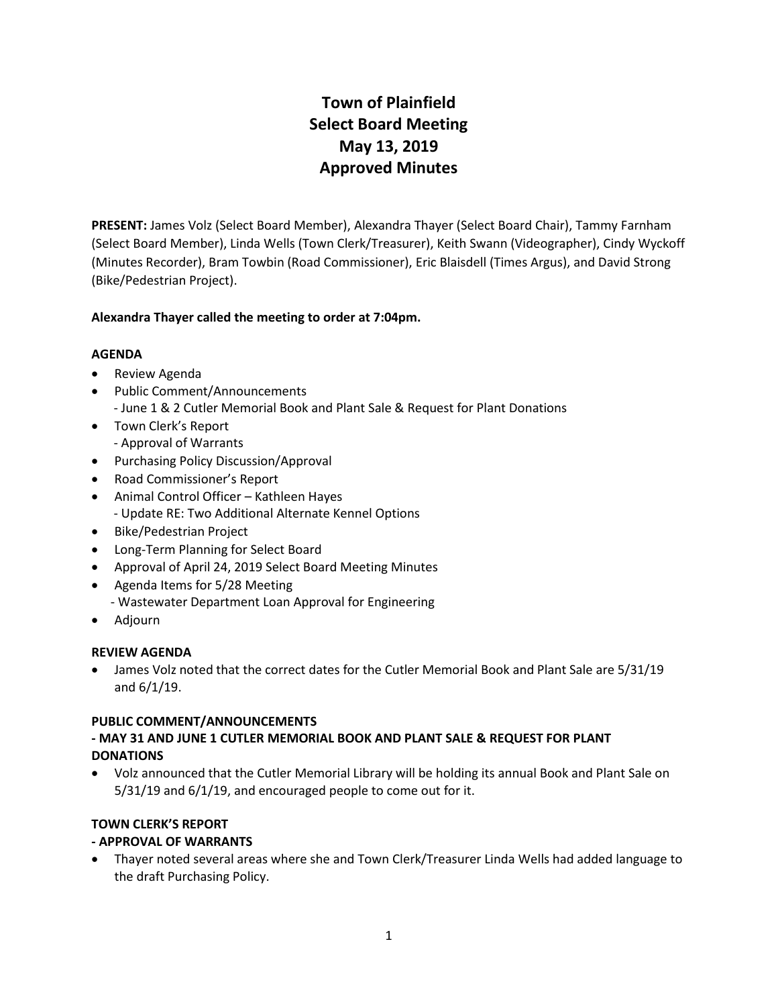# **Town of Plainfield Select Board Meeting May 13, 2019 Approved Minutes**

**PRESENT:** James Volz (Select Board Member), Alexandra Thayer (Select Board Chair), Tammy Farnham (Select Board Member), Linda Wells (Town Clerk/Treasurer), Keith Swann (Videographer), Cindy Wyckoff (Minutes Recorder), Bram Towbin (Road Commissioner), Eric Blaisdell (Times Argus), and David Strong (Bike/Pedestrian Project).

### **Alexandra Thayer called the meeting to order at 7:04pm.**

### **AGENDA**

- Review Agenda
- Public Comment/Announcements
	- June 1 & 2 Cutler Memorial Book and Plant Sale & Request for Plant Donations
- Town Clerk's Report - Approval of Warrants
- Purchasing Policy Discussion/Approval
- Road Commissioner's Report
- Animal Control Officer Kathleen Hayes - Update RE: Two Additional Alternate Kennel Options
- Bike/Pedestrian Project
- Long-Term Planning for Select Board
- Approval of April 24, 2019 Select Board Meeting Minutes
- Agenda Items for 5/28 Meeting - Wastewater Department Loan Approval for Engineering
- Adjourn

# **REVIEW AGENDA**

 James Volz noted that the correct dates for the Cutler Memorial Book and Plant Sale are 5/31/19 and 6/1/19.

# **PUBLIC COMMENT/ANNOUNCEMENTS**

### **- MAY 31 AND JUNE 1 CUTLER MEMORIAL BOOK AND PLANT SALE & REQUEST FOR PLANT DONATIONS**

 Volz announced that the Cutler Memorial Library will be holding its annual Book and Plant Sale on 5/31/19 and 6/1/19, and encouraged people to come out for it.

# **TOWN CLERK'S REPORT**

# **- APPROVAL OF WARRANTS**

 Thayer noted several areas where she and Town Clerk/Treasurer Linda Wells had added language to the draft Purchasing Policy.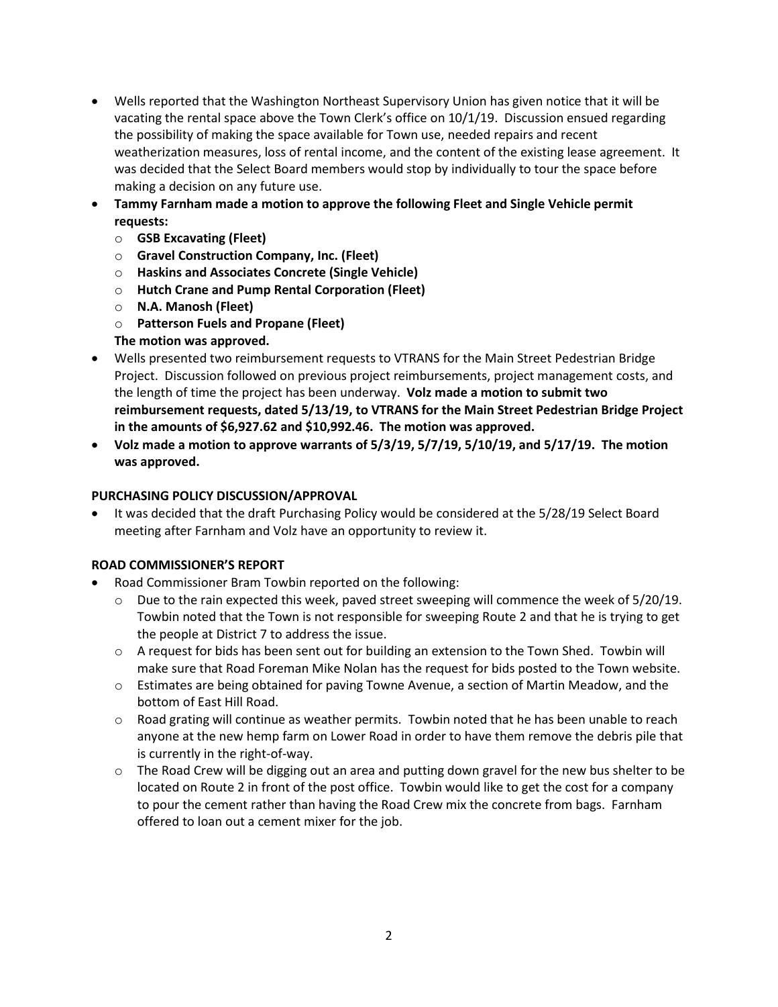- Wells reported that the Washington Northeast Supervisory Union has given notice that it will be vacating the rental space above the Town Clerk's office on 10/1/19. Discussion ensued regarding the possibility of making the space available for Town use, needed repairs and recent weatherization measures, loss of rental income, and the content of the existing lease agreement. It was decided that the Select Board members would stop by individually to tour the space before making a decision on any future use.
- **Tammy Farnham made a motion to approve the following Fleet and Single Vehicle permit requests:**
	- o **GSB Excavating (Fleet)**
	- o **Gravel Construction Company, Inc. (Fleet)**
	- o **Haskins and Associates Concrete (Single Vehicle)**
	- o **Hutch Crane and Pump Rental Corporation (Fleet)**
	- o **N.A. Manosh (Fleet)**
	- o **Patterson Fuels and Propane (Fleet)**
	- **The motion was approved.**
- Wells presented two reimbursement requests to VTRANS for the Main Street Pedestrian Bridge Project. Discussion followed on previous project reimbursements, project management costs, and the length of time the project has been underway. **Volz made a motion to submit two reimbursement requests, dated 5/13/19, to VTRANS for the Main Street Pedestrian Bridge Project in the amounts of \$6,927.62 and \$10,992.46. The motion was approved.**
- **Volz made a motion to approve warrants of 5/3/19, 5/7/19, 5/10/19, and 5/17/19. The motion was approved.**

#### **PURCHASING POLICY DISCUSSION/APPROVAL**

 It was decided that the draft Purchasing Policy would be considered at the 5/28/19 Select Board meeting after Farnham and Volz have an opportunity to review it.

#### **ROAD COMMISSIONER'S REPORT**

- Road Commissioner Bram Towbin reported on the following:
	- $\circ$  Due to the rain expected this week, paved street sweeping will commence the week of 5/20/19. Towbin noted that the Town is not responsible for sweeping Route 2 and that he is trying to get the people at District 7 to address the issue.
	- o A request for bids has been sent out for building an extension to the Town Shed. Towbin will make sure that Road Foreman Mike Nolan has the request for bids posted to the Town website.
	- o Estimates are being obtained for paving Towne Avenue, a section of Martin Meadow, and the bottom of East Hill Road.
	- $\circ$  Road grating will continue as weather permits. Towbin noted that he has been unable to reach anyone at the new hemp farm on Lower Road in order to have them remove the debris pile that is currently in the right-of-way.
	- $\circ$  The Road Crew will be digging out an area and putting down gravel for the new bus shelter to be located on Route 2 in front of the post office. Towbin would like to get the cost for a company to pour the cement rather than having the Road Crew mix the concrete from bags. Farnham offered to loan out a cement mixer for the job.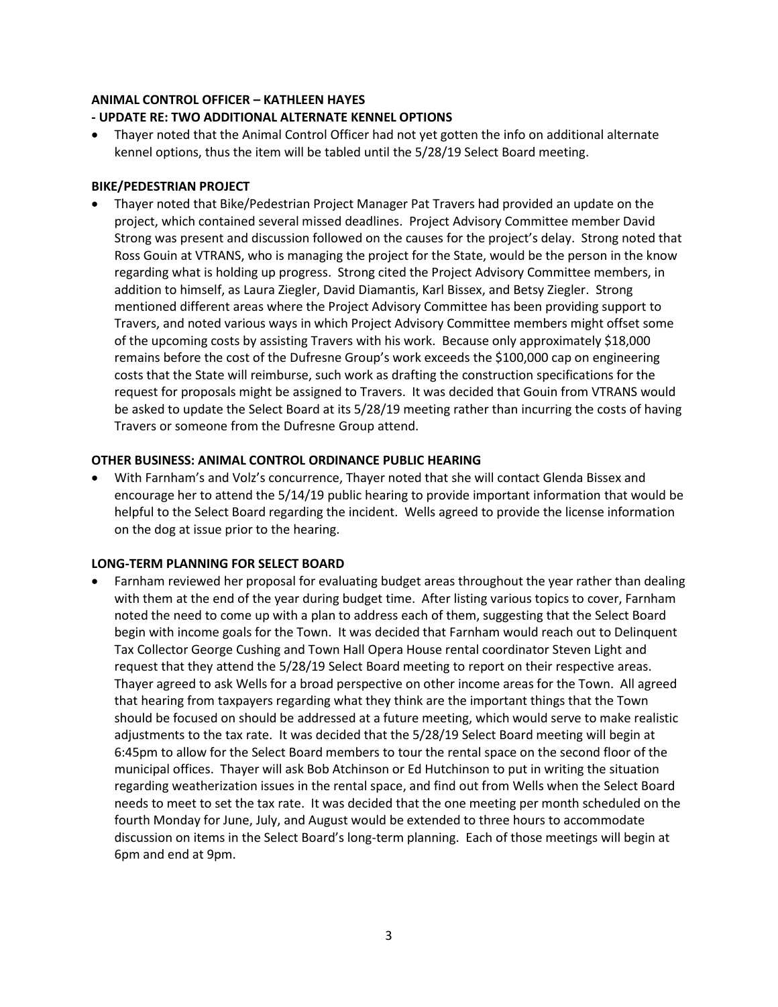#### **ANIMAL CONTROL OFFICER – KATHLEEN HAYES**

#### **- UPDATE RE: TWO ADDITIONAL ALTERNATE KENNEL OPTIONS**

 Thayer noted that the Animal Control Officer had not yet gotten the info on additional alternate kennel options, thus the item will be tabled until the 5/28/19 Select Board meeting.

#### **BIKE/PEDESTRIAN PROJECT**

 Thayer noted that Bike/Pedestrian Project Manager Pat Travers had provided an update on the project, which contained several missed deadlines. Project Advisory Committee member David Strong was present and discussion followed on the causes for the project's delay. Strong noted that Ross Gouin at VTRANS, who is managing the project for the State, would be the person in the know regarding what is holding up progress. Strong cited the Project Advisory Committee members, in addition to himself, as Laura Ziegler, David Diamantis, Karl Bissex, and Betsy Ziegler. Strong mentioned different areas where the Project Advisory Committee has been providing support to Travers, and noted various ways in which Project Advisory Committee members might offset some of the upcoming costs by assisting Travers with his work. Because only approximately \$18,000 remains before the cost of the Dufresne Group's work exceeds the \$100,000 cap on engineering costs that the State will reimburse, such work as drafting the construction specifications for the request for proposals might be assigned to Travers. It was decided that Gouin from VTRANS would be asked to update the Select Board at its 5/28/19 meeting rather than incurring the costs of having Travers or someone from the Dufresne Group attend.

#### **OTHER BUSINESS: ANIMAL CONTROL ORDINANCE PUBLIC HEARING**

 With Farnham's and Volz's concurrence, Thayer noted that she will contact Glenda Bissex and encourage her to attend the 5/14/19 public hearing to provide important information that would be helpful to the Select Board regarding the incident. Wells agreed to provide the license information on the dog at issue prior to the hearing.

#### **LONG-TERM PLANNING FOR SELECT BOARD**

 Farnham reviewed her proposal for evaluating budget areas throughout the year rather than dealing with them at the end of the year during budget time. After listing various topics to cover, Farnham noted the need to come up with a plan to address each of them, suggesting that the Select Board begin with income goals for the Town. It was decided that Farnham would reach out to Delinquent Tax Collector George Cushing and Town Hall Opera House rental coordinator Steven Light and request that they attend the 5/28/19 Select Board meeting to report on their respective areas. Thayer agreed to ask Wells for a broad perspective on other income areas for the Town. All agreed that hearing from taxpayers regarding what they think are the important things that the Town should be focused on should be addressed at a future meeting, which would serve to make realistic adjustments to the tax rate. It was decided that the 5/28/19 Select Board meeting will begin at 6:45pm to allow for the Select Board members to tour the rental space on the second floor of the municipal offices. Thayer will ask Bob Atchinson or Ed Hutchinson to put in writing the situation regarding weatherization issues in the rental space, and find out from Wells when the Select Board needs to meet to set the tax rate. It was decided that the one meeting per month scheduled on the fourth Monday for June, July, and August would be extended to three hours to accommodate discussion on items in the Select Board's long-term planning. Each of those meetings will begin at 6pm and end at 9pm.